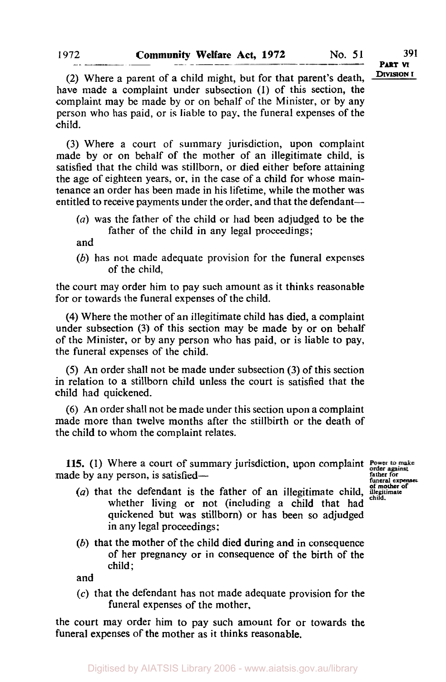**DIVISION I** 

(2) Where a parent of a child might, but for that parent's death, have made a complaint under subsection **(1)** of this section, the complaint may be made by or on behalf of the Minister, or by any person who has paid, or is liable to pay, the funeral expenses of the child.

(3) Where a court of summary jurisdiction, upon complaint made by or on behalf of the mother of an illegitimate child, is satisfied that the child was stillborn, or died either before attaining the age of eighteen years, or, in the case of a child for whose maintenance an order has been made in his lifetime, while the mother was entitled to receive payments under the order, and that the defendant-

*(a)* was the father of the child or had been adjudged to be the father of the child in any legal proceedings;

and

 $(b)$  has not made adequate provision for the funeral expenses of the child,

the court may order him to pay such amount as it thinks reasonable for or towards the funeral expenses of the child.

**(4)** Where the mother of an illegitimate child has died, a complaint under subsection (3) of this section may be made by or on behalf of the Minister, or by any person who has paid, or is liable to pay, the funeral expenses of the child.

*(5)* An order shall not be made under subsection (3) of this section in relation to a stillborn child unless the court is satisfied that the child had quickened.

(6) An order shall not be made under this section upon a complaint made more than twelve months after the stillbirth or the death of the child to whom the complaint relates.

115. **(1)** Where a court of summary jurisdiction, upon complaint made by any person, is satisfied—

**father for funeral expenses of mother of** 

- (a) that the defendant is the father of an illegitimate child, **illegit** child. whether living or not (including a child that had quickened but was stillborn) or has been so adjudged in any legal proceedings;
- (b) that the mother of the child died during and in consequence of her pregnancy or in consequence of the birth of the child ;

and

**(c)** that the defendant has not made adequate provision for the funeral expenses of the mother,

the court may order him to pay such amount for or towards the funeral expenses of the mother as it thinks reasonable.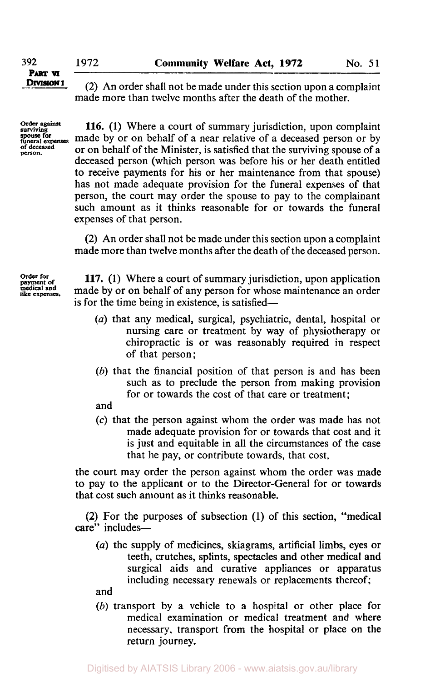**392** 1972 **Community Welfare Act, 1972** No. 51 *PART* **VI** 

**DIVISION I** 

(2) An order shall not be made under this section upon a complaint made more than twelve months after the death of the mother.

Order against<br>surviving<br>spouse for<br>funeral expenses

**116.** (1) Where a court of summary jurisdiction, upon complaint **spouse for**<br>funeral expenses **made** by or on behalf of a near relative of a deceased person or by<br>of deceased a new hobelf of the Minister is satisfied that the symphone agency of a **person. of deceased** or on behalf of the Minister, is satisfied that the surviving spouse of a deceased person (which person was before his or her death entitled to receive payments for his or her maintenance from that spouse) has not made adequate provision for the funeral expenses of that person, the court may order the spouse to pay to the complainant such amount as it thinks reasonable for or towards the funeral expenses of that person.

> (2) An order shall not be made under this section upon a complaint made more than twelve months after the death of the deceased person.

Order for *Order* **payment for of medical and like expenses** 

**117.** (1) Where a court of summary jurisdiction, upon application made by or on behalf of any person for whose maintenance an order is for the time being in existence, is satisfied-

- *(a)* that any medical, surgical, psychiatric, dental, hospital or nursing care or treatment by way of physiotherapy or chiropractic is or was reasonably required in respect of that person;
- (6) that the financial position of that person **is** and has been such as to preclude the person from making provision for or towards the cost of that care or treatment;

and

**(c)** that the person against whom the order was made has not made adequate provision for or towards that cost and it is just and equitable in all the circumstances **of** the case that he pay, or contribute towards, that cost,

the court may order the person against whom the order was made to pay to the applicant or to the Director-General for or towards that cost such amount as it thinks reasonable.

**(2)** For the purposes **of** subsection **(1)** of this section, "medical care" includes-

*(a)* the supply of medicines, skiagrams, artificial limbs, eyes or teeth, crutches, splints, spectacles and other medical and surgical aids and curative appliances or apparatus including necessary renewals or replacements thereof;

and

(6) transport by a vehicle to a hospital or other place for medical examination or medical treatment and where necessary, transport from the hospital or place on the return journey.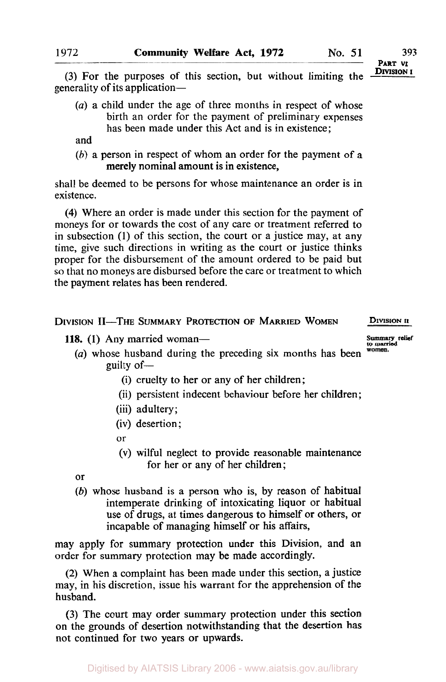**PART VI** 

(3) For the purposes of this section, but without limiting the generality of its application-

*(a)* a child under the age of three months in respect of whose birth an order for the payment of preliminary expenses has been made under this Act and is in existence;

and

*(h)* a person in respect of whom an order for the payment of a merely nominal amount is in existence,

shall be deemed to be persons for whose maintenance an order is in existence.

**(4)** Where an order is made under this section for the payment of moneys for or towards the cost of any care or treatment referred to in subsection (1) of this section, the court or a justice may, at any time, give such directions in writing as the court or justice thinks proper for the disbursement of the amount ordered to be paid but so that no moneys are disbursed before the care or treatment to which the payment relates has been rendered.

#### DIVISION 11-THE SUMMARY PROTECTION **OF** MARRIED WOMEN **DIVISION II**

- **118.** (1) Any married woman-<br> **(a)** whose bushend during the preceding six months has been women. *(a)* whose husband during the preceding six months has been guilty of  $-$ 
	- (i) cruelty to her or any of her children ;
	- (ii) persistent indecent behaviour before her children;
	- (iii) adultery;
	- (iv) desertion;
	- or
	- (v) wilful neglect to provide reasonable maintenance for her or any of her children;

**or** 

*(b)* whose husband is a person who is, by reason of habitual intemperate drinking of intoxicating liquor or habitual use of drugs, at times dangerous to himself or others, or incapable of managing himself or his affairs,

may apply for summary protection under this Division, and an order for summary protection may be made accordingly.

**(2)** When a complaint has been made under this section, a justice may, in his discretion, issue his warrant for the apprehension of the husband.

(3) The court may order summary protection under this section on the grounds of desertion notwithstanding that the desertion has not continued for two years or upwards.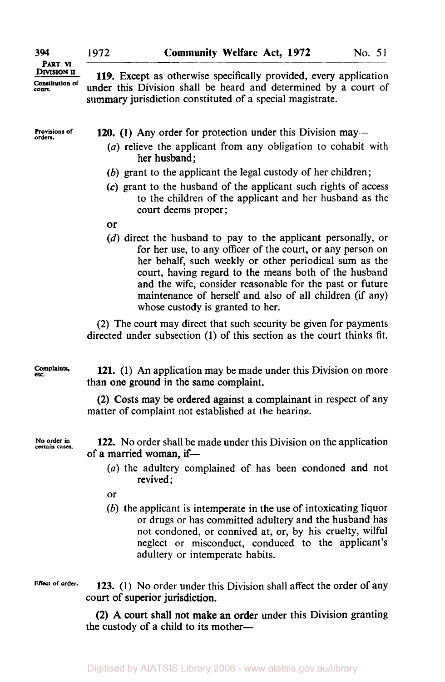**PART VI DIVISION <sup>U</sup> Constitution of** *court* 

**394** 

**Roviaions of orders.** 

**119.** Except as otherwise specifically provided, every application under this Division shall be heard and determined by a court of summary jurisdiction constituted **of** a special magistrate.

**120.** (1) Any order for protection under this Division may—

- *(a)* relieve the applicant from any obligation to cohabit with her husband;
- *(b)* grant to the applicant the legal custody of her children;
- *(c)* grant to the husband of the applicant such rights of access to the children of the applicant and her husband as the court deems proper;
- or
- **(d)** direct the husband to pay to the applicant personally, or for her use, to any officer of the court, or any person on her behalf, such weekly or other periodical sum as the court, having regard to the means both of the husband and the wife, consider reasonable for the past or future maintenance of herself and also of all children (if any) whose custody is granted to her.

**(2)** The court may direct that such security be given for payments directed under subsection (1) **of** this section as the court thinks fit.

**Complaints.**  *etc.* 

**121. (1)** An application may be made under this Division on more than one ground in the same complaint.

(2) Costs may be ordered against a complainant in respect of any matter of complaint not established at the hearing.

**No order in certain cases.** 

**122. No** order shall be made under this Division on the application of a married woman, if-

- *(a)* the adultery complained of has been condoned and not revived ;
- or
- *(b)* the applicant is intemperate in the use of intoxicating liquor or drugs or has committed adultery and the husband has not condoned, or connived at, or, by his cruelty, wilful neglect or misconduct, conduced to the applicant's adultery or intemperate habits.

**Effect of order.** 

**123.** (1) **No** order under this Division shall affect the order of any court of superior jurisdiction.

**(2) A** court shall not make an order under this Division granting the custody **of** a child to its mother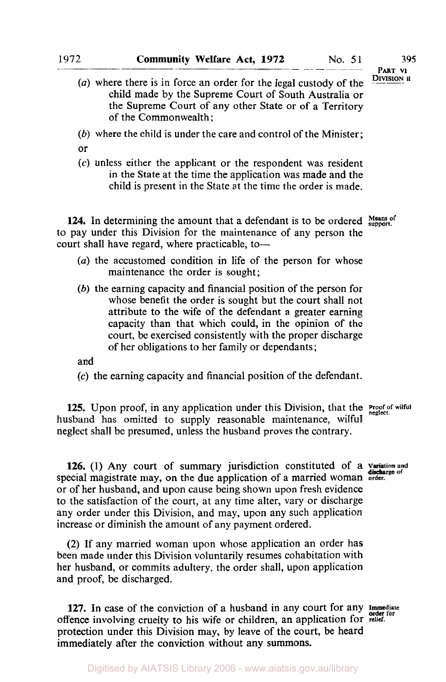*(a)* where there is in force an order for the legal custody of the child made by the Supreme Court of South Australia or the Supreme Court of any other State or of a Territory of the Commonwealth;

*(b)* where the child is under the care and control of the Minister;

or

*(c)* unless either the applicant or the respondent was resident in the State at the time the application was made and the child is present in the State at the time the order is made.

**124.** In determining the amount that a defendant is to be ordered  $\frac{\text{Mean of}}{\text{support}}$ to pay under this Division for the maintenance of any person the court shall have regard, where practicable, to-

- *(a)* the accustomed condition in life of the person for whose maintenance the order is sought;
- *(b)* the earning capacity and financial position of the person for whose benefit the order is sought but the court shall not attribute to the wife of the defendant a greater earning capacity than that which could, in the opinion of the court, be exercised consistently with the proper discharge of her obligations to her family or dependants;

and

**(c)** the earning capacity and financial position of the defendant.

**125.** Upon proof, in any application under this Division, that the **Proof of wilful** husband has omitted to supply reasonable maintenance, wilful neglect shall be presumed, unless the husband proves the contrary.

126. (1) Any court of summary jurisdiction constituted of a variation and special magistrate may, on the due application of a married woman order. or of her husband, and upon cause being shown upon fresh evidence to the satisfaction of the court, at any time alter, vary or discharge any order under this Division, and may, upon any such application increase or diminish the amount of any payment ordered.

**(2)** If any married woman upon whose application an order has been made under this Division voluntarily resumes cohabitation with her husband, or commits adultery, the order shall, upon application and proof, be discharged.

**127.** In case of the conviction of a husband in any court for any offence involving cruelty to his wife or children, an application for **relief.**  protection under this Division may, by leave of the court, be heard immediately after the conviction without any summons.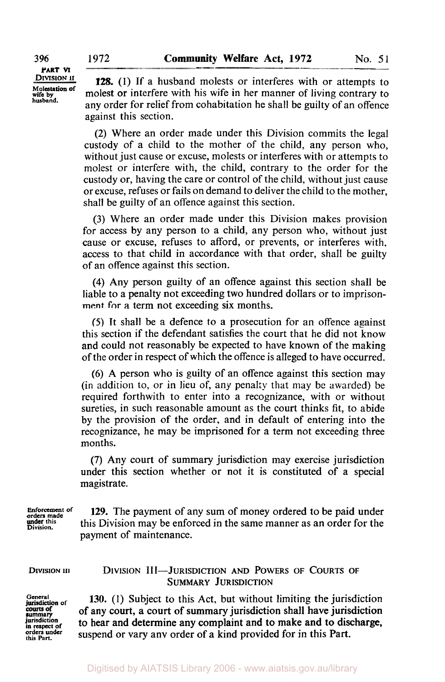**396 1972** 

**DIVISION II PART M Molestation of wife by husband.** 

**128. (1)** If a husband molests or interferes with or attempts to molest or interfere with his wife in her manner **of** living contrary to any order for relief from cohabitation he shall be guilty of an offence against this section.

**(2)** Where an order made under this Division commits the legal custody of a child to the mother of the child, any person who, without just cause or excuse, molests or interferes with or attempts to molest or interfere with, the child, contrary to the order for the custody or, having the care or control of the child, without just cause or excuse, refuses or fails on demand to deliver the child to the mother, shall be guilty of an offence against this section.

**(3)** Where an order made under this Division makes provision for access by any person to a child, any person who, without just cause or excuse, refuses to afford, or prevents, or interferes with, access to that child in accordance with that order, shall be guilty of an offence against this section.

**(4)** Any person guilty of an offence against this section shall be liable to a penalty not exceeding two hundred dollars or to imprison**ment for** a term not exceeding six months.

*(5)* It shall be a defence to a prosecution for an offence against this section if the defendant satisfies the court that he did not know and could not reasonably be expected to have known of the making of the order in respect of which the offence is alleged to have occurred.

*(6)* **A** person who is guilty of an offence against this section may (in addition to, or in lieu of, any penalty that may be awarded) be required forthwith to enter into a recognizance, with or without sureties, in such reasonable amount as the court thinks fit, to abide by the provision of the order, and in default of entering into the recognizance, he may be imprisoned for a term not exceeding three months.

**(7)** Any court of summary jurisdiction may exercise jurisdiction under this section whether or not it **is** constituted of a special magistrate.

**Enforcement of**<br>orders made<br>**under** this **129.** The payment of any sum of money ordered to be paid under this Division may be enforced in the same manner as an order for the payment of maintenance.

**DIVISION III** DIVISION 111-JURISDICTION AND POWERS **OF** COURTS **OF** 

**Division.** 

# SUMMARY JURISDICTION

**General of courts of<br>summary**<br>jurisdiction **orders this Part. under** 

**130.** (1) Subject to this Act, but without limiting the jurisdiction to hear and determine any complaint and to make and to discharge, **summary**  of any court, a court of summary jurisdiction shall have jurisdiction suspend or vary any order of a kind provided for in this Part.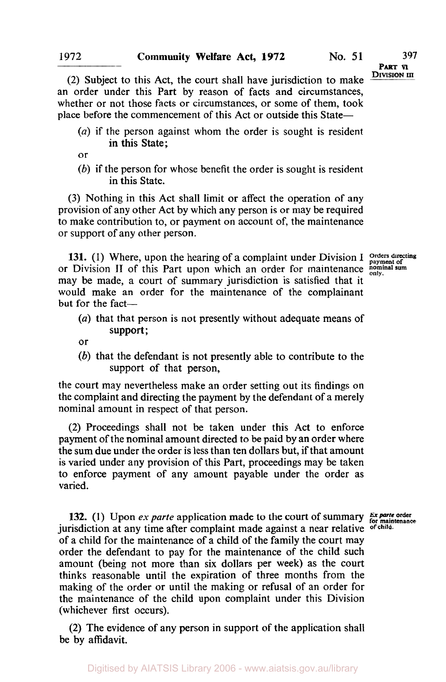**PART VI**<br>DIVISION III

(2) Subject to this Act, the court shall have jurisdiction to make an order under this Part by reason of facts and circumstances, whether or not those facts or circumstances, or some of them, took place before the commencement of this Act or outside this State-

*(a)* if the person against whom the order is sought is resident in this State;

or

*(b)* if the person for whose benefit the order is sought is resident in this State.

**(3)** Nothing in this Act shall limit or affect the operation of any provision of any other Act by which any person is or may be required to make contribution to, or payment on account of, the maintenance or support of any other person.

**131.** (1) Where, upon the hearing of a complaint under Division I orders directing or Division **II** of this Part upon which an order for maintenance **nominal sum** may be made, **a** court of summary jurisdiction is satisfied that it would make an order for the maintenance of the complainant but for the fact-

*(a)* that that person is not presently without adequate means of support;

or

*(b)* that the defendant **is** not presently able to contribute to the support of that person,

the court may nevertheless make an order setting out its findings on the complaint and directing the payment by the defendant of a merely nominal amount in respect of that person.

(2) Proceedings shall not be taken under this Act to enforce payment of the nominal amount directed to be paid by an order where the sum due under the order is less than ten dollars but, if that amount is varied under any provision of this Part, proceedings may be taken to enforce payment of any amount payable under the order as varied.

**132.** (1) Upon *ex parte* application made to the court of summary **Ex parte order** jurisdiction at any time after complaint made against a near relative **of child.**  of a child for the maintenance of a child of the family the court may order the defendant to pay for the maintenance of the child such amount (being not more than six dollars per week) as the court thinks reasonable until the expiration of three months from the making of the order or until the making or refusal of an order for the maintenance of the child upon complaint under this Division (whichever first occurs).

**(2)** The evidence of any person in support of the application shall be by affidavit.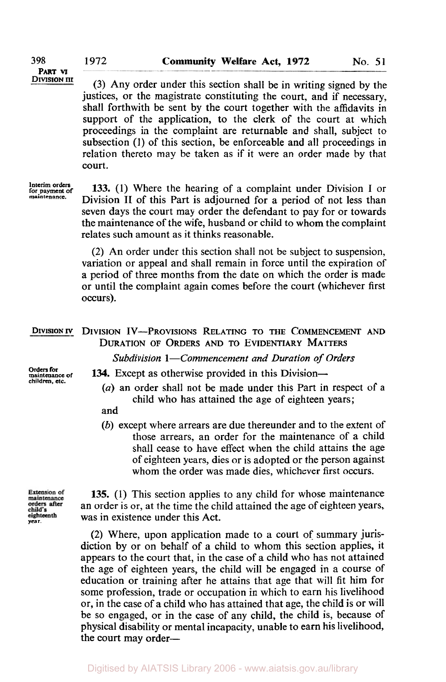**(3)** Any order under this section shall be in writing signed by the justices, or the magistrate constituting the court, and if necessary, shall forthwith be sent by the court together with the affidavits in support of the application, to the clerk of the court at which proceedings in the complaint are returnable and shall, subject to subsection (1) of this section, be enforceable and all proceedings in relation thereto may be taken as **if** it were an order made by that court.

**Interim orders for payment of maintenance.** 

**133.** (1) Where the hearing **of** a complaint under Division **I** or Division **II** of this Part is adjourned for a period of not less than seven days the court may order the defendant to pay for or towards the maintenance of the wife, husband or child to whom the complaint relates such amount as it thinks reasonable.

**(2)** An order under this section shall not be subject to suspension, variation or appeal and shall remain in force until the expiration of a period of three months from the date on which the order is made or until the complaint again comes before the court (whichever first occurs).

## DIVISION IV DIVISION IV-PROVISIONS RELATING TO THE COMMENCEMENT AND DURATION OF **ORDERS** AND TO EVIDENTIARY MATTERS *Subdivision 1-Commencement and Duration of Orders*

134. Except as otherwise provided in this Division-

**Orders for maintenance of children,** *etc.* 

*(a)* an order shall not be made under this Part in respect of a child who has attained the age **of** eighteen years;

- and
- *(b)* except where arrears are due thereunder and to the extent of those arrears, an order for the maintenance of a child shall cease to have effect when the child attains the age of eighteen years, dies or is adopted or the person against whom the order was made dies, whichever first occurs.

Extension of maintenance orders after child's **year.** 

**135. (1)** This section applies to any child for whose maintenance an order is or, at the time the child attained the age of eighteen years, was in existence under this Act.

**(2)** Where, upon application made to **a** court **of** summary jurisdiction by or on behalf of a child to whom this section applies, it appears to the court that, in the case of a child who has not attained the age of eighteen years, the child will be engaged in a course of education or training after he attains that age that will fit him for some profession, trade or occupation in which to earn his livelihood or, in the case of a child who has attained that age, the child is or will be so engaged, or in the case of any child, the child is, because of physical disability or mental incapacity, unable to earn his livelihood, the court may order—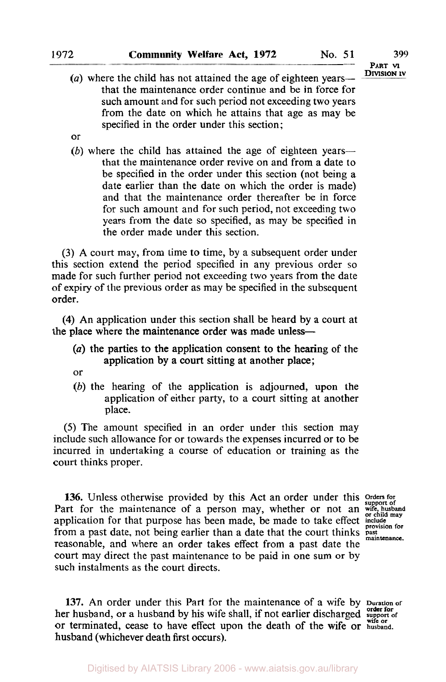**PART VI** 

- (a) where the child has not attained the age of eighteen yearsthat the maintenance order continue and be in force for such amount and for such period not exceeding two years from the date on which he attains that age as may be specified in the order under this section;
- or
- (b) where the child has attained the age of eighteen yearsthat the maintenance order revive on and from a date to be specified in the order under this section (not being a date earlier than the date on which the order is made) and that the maintenance order thereafter be in force for such amount and for such period, not exceeding two years from the date so specified, as may be specified in the order made under this section.

**(3) A** court may, from time to time, by a subsequent order under this section extend the period specified in any previous order so made for such further period not exceeding two years from the date of expiry of the previous order as may be specified in the subsequent order.

**(4)** An application under this section shall be heard by a court at the place where the maintenance order was made unless-

- *(a)* the parties to the application consent to the hearing of the application by a court sitting at another place;
- or
- *(b)* the hearing of the application is adjourned, upon the application of either party, to a court sitting at another place.

*(5)* The amount specified in an order under this section may include such allowance for or towards the expenses incurred or to be incurred in undertaking a course of education or training as the court thinks proper.

136. Unless otherwise provided by this Act an order under this Orders for Part for the maintenance of a person may, whether or not an wife, husband application for that purpose has been made, be made to take effect include from a past date, not being earlier than a date that the court thinks past maintenance. reasonable, and where an order takes effect from a past date the court may direct the past maintenance to be paid in one **sum** or by such instalments as the court directs.

**137.** An order under this Part for the maintenance of a wife by **Duration of**  her husband, or a husband by his wife shall, if not earlier discharged support of or terminated, cease to have effect upon the death of the wife **or husband.**  husband (whichever death first occurs).